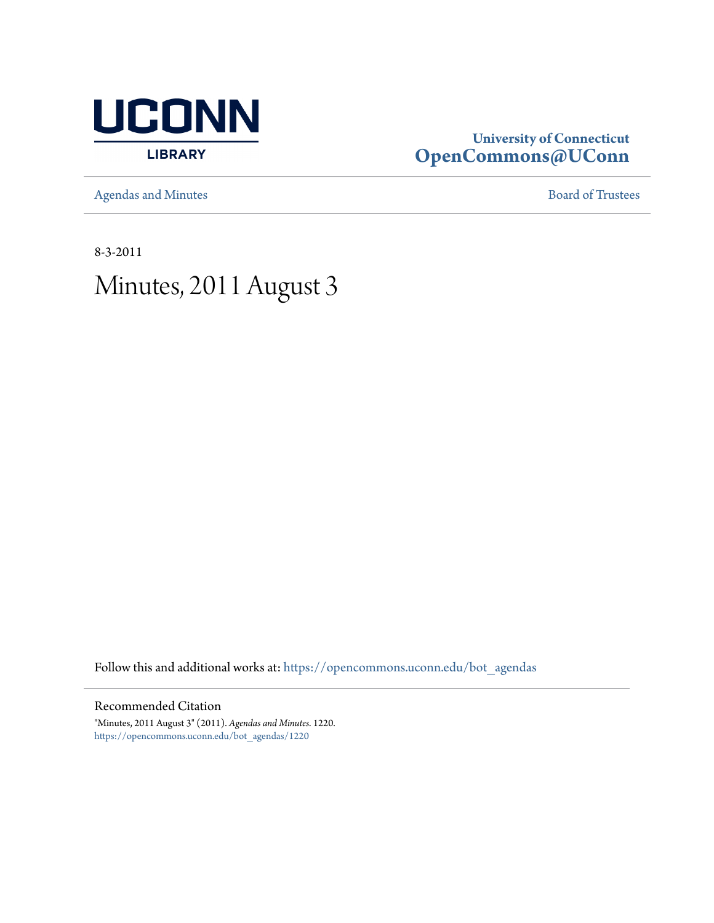

# **University of Connecticut [OpenCommons@UConn](https://opencommons.uconn.edu?utm_source=opencommons.uconn.edu%2Fbot_agendas%2F1220&utm_medium=PDF&utm_campaign=PDFCoverPages)**

[Agendas and Minutes](https://opencommons.uconn.edu/bot_agendas?utm_source=opencommons.uconn.edu%2Fbot_agendas%2F1220&utm_medium=PDF&utm_campaign=PDFCoverPages) **[Board of Trustees](https://opencommons.uconn.edu/bot?utm_source=opencommons.uconn.edu%2Fbot_agendas%2F1220&utm_medium=PDF&utm_campaign=PDFCoverPages)** 

8-3-2011

# Minutes, 2011 August 3

Follow this and additional works at: [https://opencommons.uconn.edu/bot\\_agendas](https://opencommons.uconn.edu/bot_agendas?utm_source=opencommons.uconn.edu%2Fbot_agendas%2F1220&utm_medium=PDF&utm_campaign=PDFCoverPages)

## Recommended Citation

"Minutes, 2011 August 3" (2011). *Agendas and Minutes*. 1220. [https://opencommons.uconn.edu/bot\\_agendas/1220](https://opencommons.uconn.edu/bot_agendas/1220?utm_source=opencommons.uconn.edu%2Fbot_agendas%2F1220&utm_medium=PDF&utm_campaign=PDFCoverPages)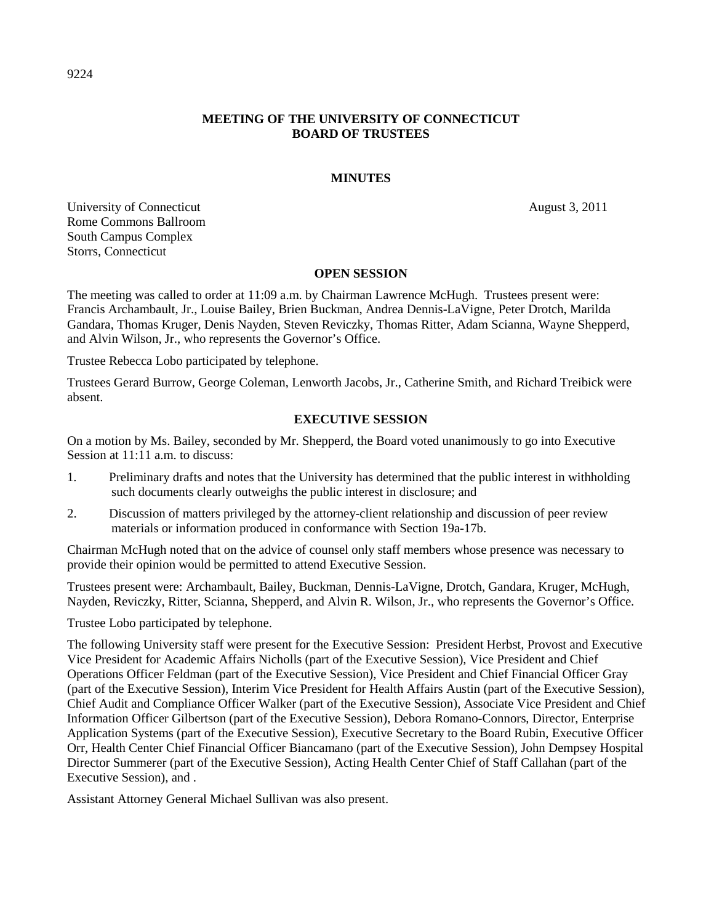## **MEETING OF THE UNIVERSITY OF CONNECTICUT BOARD OF TRUSTEES**

#### **MINUTES**

University of Connecticut August 3, 2011 Rome Commons Ballroom South Campus Complex Storrs, Connecticut

#### **OPEN SESSION**

The meeting was called to order at 11:09 a.m. by Chairman Lawrence McHugh. Trustees present were: Francis Archambault, Jr., Louise Bailey, Brien Buckman, Andrea Dennis-LaVigne, Peter Drotch, Marilda Gandara, Thomas Kruger, Denis Nayden, Steven Reviczky, Thomas Ritter, Adam Scianna, Wayne Shepperd, and Alvin Wilson, Jr., who represents the Governor's Office.

Trustee Rebecca Lobo participated by telephone.

Trustees Gerard Burrow, George Coleman, Lenworth Jacobs, Jr., Catherine Smith, and Richard Treibick were absent.

#### **EXECUTIVE SESSION**

On a motion by Ms. Bailey, seconded by Mr. Shepperd, the Board voted unanimously to go into Executive Session at 11:11 a.m. to discuss:

- 1. Preliminary drafts and notes that the University has determined that the public interest in withholding such documents clearly outweighs the public interest in disclosure; and
- 2. Discussion of matters privileged by the attorney-client relationship and discussion of peer review materials or information produced in conformance with Section 19a-17b.

Chairman McHugh noted that on the advice of counsel only staff members whose presence was necessary to provide their opinion would be permitted to attend Executive Session.

Trustees present were: Archambault, Bailey, Buckman, Dennis-LaVigne, Drotch, Gandara, Kruger, McHugh, Nayden, Reviczky, Ritter, Scianna, Shepperd, and Alvin R. Wilson, Jr., who represents the Governor's Office.

Trustee Lobo participated by telephone.

The following University staff were present for the Executive Session: President Herbst, Provost and Executive Vice President for Academic Affairs Nicholls (part of the Executive Session), Vice President and Chief Operations Officer Feldman (part of the Executive Session), Vice President and Chief Financial Officer Gray (part of the Executive Session), Interim Vice President for Health Affairs Austin (part of the Executive Session), Chief Audit and Compliance Officer Walker (part of the Executive Session), Associate Vice President and Chief Information Officer Gilbertson (part of the Executive Session), Debora Romano-Connors, Director, Enterprise Application Systems (part of the Executive Session), Executive Secretary to the Board Rubin, Executive Officer Orr, Health Center Chief Financial Officer Biancamano (part of the Executive Session), John Dempsey Hospital Director Summerer (part of the Executive Session), Acting Health Center Chief of Staff Callahan (part of the Executive Session), and .

Assistant Attorney General Michael Sullivan was also present.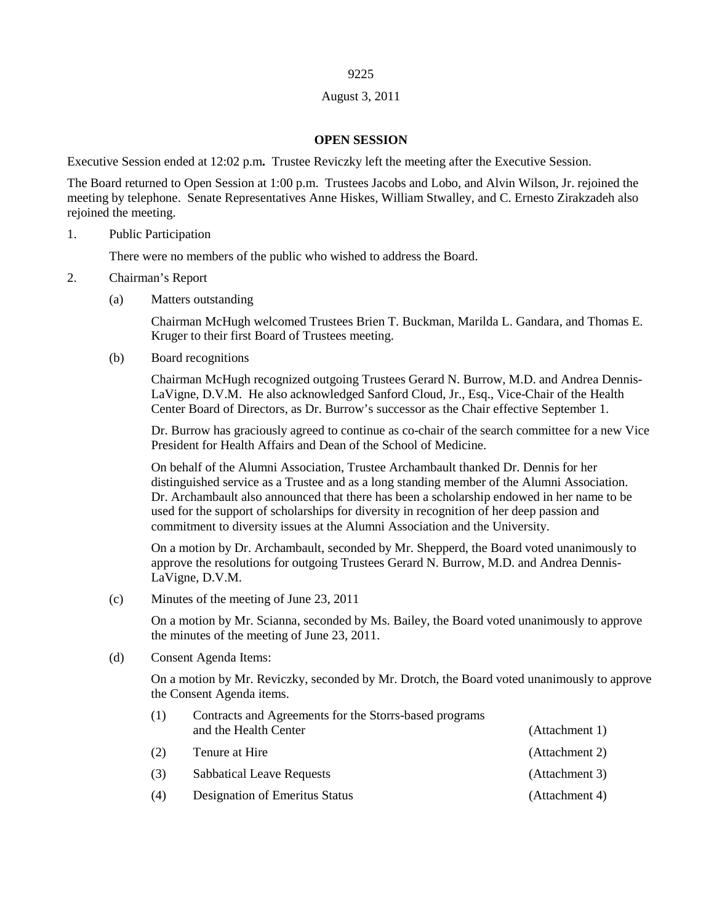## August 3, 2011

#### **OPEN SESSION**

Executive Session ended at 12:02 p.m**.** Trustee Reviczky left the meeting after the Executive Session.

The Board returned to Open Session at 1:00 p.m. Trustees Jacobs and Lobo, and Alvin Wilson, Jr. rejoined the meeting by telephone. Senate Representatives Anne Hiskes, William Stwalley, and C. Ernesto Zirakzadeh also rejoined the meeting.

1. Public Participation

There were no members of the public who wished to address the Board.

- 2. Chairman's Report
	- (a) Matters outstanding

Chairman McHugh welcomed Trustees Brien T. Buckman, Marilda L. Gandara, and Thomas E. Kruger to their first Board of Trustees meeting.

(b) Board recognitions

Chairman McHugh recognized outgoing Trustees Gerard N. Burrow, M.D. and Andrea Dennis-LaVigne, D.V.M. He also acknowledged Sanford Cloud, Jr., Esq., Vice-Chair of the Health Center Board of Directors, as Dr. Burrow's successor as the Chair effective September 1.

Dr. Burrow has graciously agreed to continue as co-chair of the search committee for a new Vice President for Health Affairs and Dean of the School of Medicine.

On behalf of the Alumni Association, Trustee Archambault thanked Dr. Dennis for her distinguished service as a Trustee and as a long standing member of the Alumni Association. Dr. Archambault also announced that there has been a scholarship endowed in her name to be used for the support of scholarships for diversity in recognition of her deep passion and commitment to diversity issues at the Alumni Association and the University.

On a motion by Dr. Archambault, seconded by Mr. Shepperd, the Board voted unanimously to approve the resolutions for outgoing Trustees Gerard N. Burrow, M.D. and Andrea Dennis-LaVigne, D.V.M.

(c) Minutes of the meeting of June 23, 2011

On a motion by Mr. Scianna, seconded by Ms. Bailey, the Board voted unanimously to approve the minutes of the meeting of June 23, 2011.

(d) Consent Agenda Items:

On a motion by Mr. Reviczky, seconded by Mr. Drotch, the Board voted unanimously to approve the Consent Agenda items.

| (1) | Contracts and Agreements for the Storrs-based programs<br>and the Health Center | (Attachment 1) |
|-----|---------------------------------------------------------------------------------|----------------|
| (2) | Tenure at Hire                                                                  | (Attachment 2) |
| (3) | <b>Sabbatical Leave Requests</b>                                                | (Attachment 3) |
| (4) | Designation of Emeritus Status                                                  | (Attachment 4) |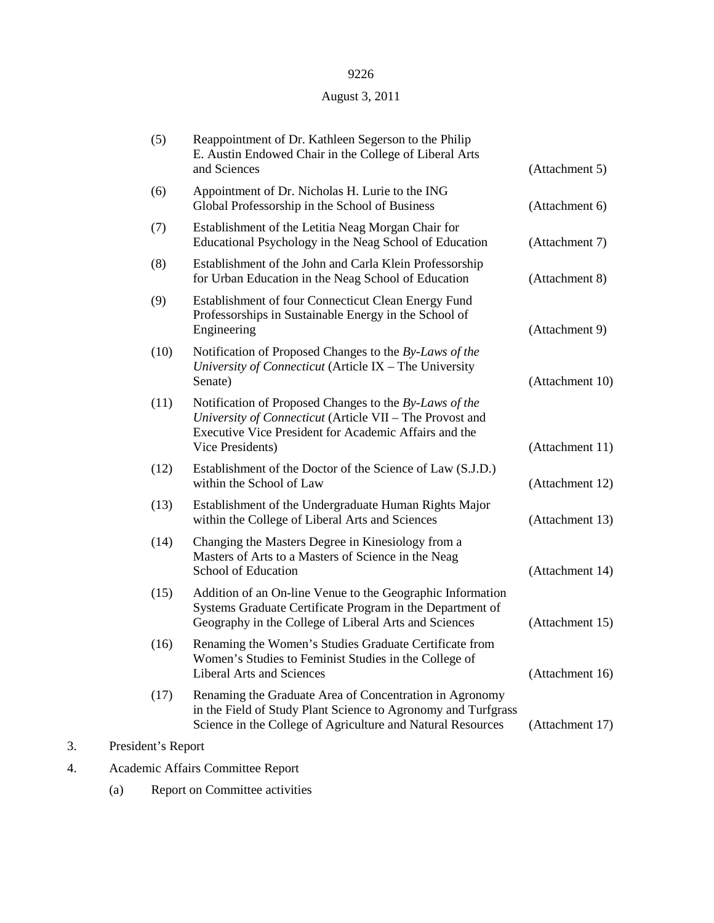## August 3, 2011

|    | (5)                | Reappointment of Dr. Kathleen Segerson to the Philip<br>E. Austin Endowed Chair in the College of Liberal Arts<br>and Sciences                                                                  | (Attachment 5)  |
|----|--------------------|-------------------------------------------------------------------------------------------------------------------------------------------------------------------------------------------------|-----------------|
|    | (6)                | Appointment of Dr. Nicholas H. Lurie to the ING<br>Global Professorship in the School of Business                                                                                               | (Attachment 6)  |
|    | (7)                | Establishment of the Letitia Neag Morgan Chair for<br>Educational Psychology in the Neag School of Education                                                                                    | (Attachment 7)  |
|    | (8)                | Establishment of the John and Carla Klein Professorship<br>for Urban Education in the Neag School of Education                                                                                  | (Attachment 8)  |
|    | (9)                | Establishment of four Connecticut Clean Energy Fund<br>Professorships in Sustainable Energy in the School of<br>Engineering                                                                     | (Attachment 9)  |
|    | (10)               | Notification of Proposed Changes to the By-Laws of the<br>University of Connecticut (Article IX - The University<br>Senate)                                                                     | (Attachment 10) |
|    | (11)               | Notification of Proposed Changes to the By-Laws of the<br>University of Connecticut (Article VII - The Provost and<br>Executive Vice President for Academic Affairs and the<br>Vice Presidents) | (Attachment 11) |
|    | (12)               | Establishment of the Doctor of the Science of Law (S.J.D.)<br>within the School of Law                                                                                                          | (Attachment 12) |
|    | (13)               | Establishment of the Undergraduate Human Rights Major<br>within the College of Liberal Arts and Sciences                                                                                        | (Attachment 13) |
|    | (14)               | Changing the Masters Degree in Kinesiology from a<br>Masters of Arts to a Masters of Science in the Neag<br>School of Education                                                                 | (Attachment 14) |
|    | (15)               | Addition of an On-line Venue to the Geographic Information<br>Systems Graduate Certificate Program in the Department of<br>Geography in the College of Liberal Arts and Sciences                | (Attachment 15) |
|    | (16)               | Renaming the Women's Studies Graduate Certificate from<br>Women's Studies to Feminist Studies in the College of<br><b>Liberal Arts and Sciences</b>                                             | (Attachment 16) |
|    | (17)               | Renaming the Graduate Area of Concentration in Agronomy<br>in the Field of Study Plant Science to Agronomy and Turfgrass<br>Science in the College of Agriculture and Natural Resources         | (Attachment 17) |
| 3. | President's Report |                                                                                                                                                                                                 |                 |
|    |                    |                                                                                                                                                                                                 |                 |

- 4. Academic Affairs Committee Report
	- (a) Report on Committee activities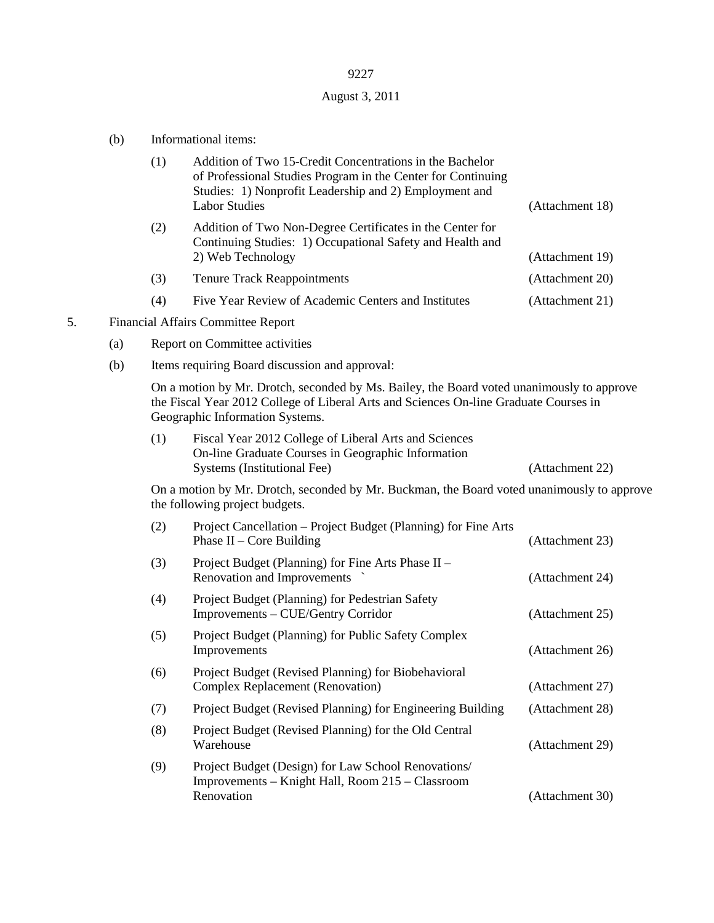# August 3, 2011

|    | (b) |                                                                                                                                                                                                                       | Informational items:                                                                                                                                                                                       |                 |  |
|----|-----|-----------------------------------------------------------------------------------------------------------------------------------------------------------------------------------------------------------------------|------------------------------------------------------------------------------------------------------------------------------------------------------------------------------------------------------------|-----------------|--|
|    |     | (1)                                                                                                                                                                                                                   | Addition of Two 15-Credit Concentrations in the Bachelor<br>of Professional Studies Program in the Center for Continuing<br>Studies: 1) Nonprofit Leadership and 2) Employment and<br><b>Labor Studies</b> | (Attachment 18) |  |
|    |     | (2)                                                                                                                                                                                                                   | Addition of Two Non-Degree Certificates in the Center for<br>Continuing Studies: 1) Occupational Safety and Health and<br>2) Web Technology                                                                | (Attachment 19) |  |
|    |     | (3)                                                                                                                                                                                                                   | <b>Tenure Track Reappointments</b>                                                                                                                                                                         | (Attachment 20) |  |
|    |     | (4)                                                                                                                                                                                                                   | Five Year Review of Academic Centers and Institutes                                                                                                                                                        | (Attachment 21) |  |
| 5. |     |                                                                                                                                                                                                                       | Financial Affairs Committee Report                                                                                                                                                                         |                 |  |
|    | (a) | Report on Committee activities                                                                                                                                                                                        |                                                                                                                                                                                                            |                 |  |
|    | (b) |                                                                                                                                                                                                                       | Items requiring Board discussion and approval:                                                                                                                                                             |                 |  |
|    |     | On a motion by Mr. Drotch, seconded by Ms. Bailey, the Board voted unanimously to approve<br>the Fiscal Year 2012 College of Liberal Arts and Sciences On-line Graduate Courses in<br>Geographic Information Systems. |                                                                                                                                                                                                            |                 |  |
|    |     | (1)                                                                                                                                                                                                                   | Fiscal Year 2012 College of Liberal Arts and Sciences<br>On-line Graduate Courses in Geographic Information<br>Systems (Institutional Fee)                                                                 | (Attachment 22) |  |
|    |     |                                                                                                                                                                                                                       | On a motion by Mr. Drotch, seconded by Mr. Buckman, the Board voted unanimously to approve<br>the following project budgets.                                                                               |                 |  |
|    |     | (2)                                                                                                                                                                                                                   | Project Cancellation - Project Budget (Planning) for Fine Arts<br>Phase $II$ – Core Building                                                                                                               | (Attachment 23) |  |
|    |     | (3)                                                                                                                                                                                                                   | Project Budget (Planning) for Fine Arts Phase II -<br>Renovation and Improvements                                                                                                                          | (Attachment 24) |  |
|    |     | (4)                                                                                                                                                                                                                   | Project Budget (Planning) for Pedestrian Safety<br>Improvements - CUE/Gentry Corridor                                                                                                                      | (Attachment 25) |  |
|    |     | (5)                                                                                                                                                                                                                   | Project Budget (Planning) for Public Safety Complex<br>Improvements                                                                                                                                        | (Attachment 26) |  |
|    |     | (6)                                                                                                                                                                                                                   | Project Budget (Revised Planning) for Biobehavioral<br><b>Complex Replacement (Renovation)</b>                                                                                                             | (Attachment 27) |  |
|    |     | (7)                                                                                                                                                                                                                   | Project Budget (Revised Planning) for Engineering Building                                                                                                                                                 | (Attachment 28) |  |
|    |     | (8)                                                                                                                                                                                                                   | Project Budget (Revised Planning) for the Old Central<br>Warehouse                                                                                                                                         | (Attachment 29) |  |

| (9) | Project Budget (Design) for Law School Renovations/ |                 |  |  |
|-----|-----------------------------------------------------|-----------------|--|--|
|     | Improvements – Knight Hall, Room 215 – Classroom    |                 |  |  |
|     | Renovation                                          | (Attachment 30) |  |  |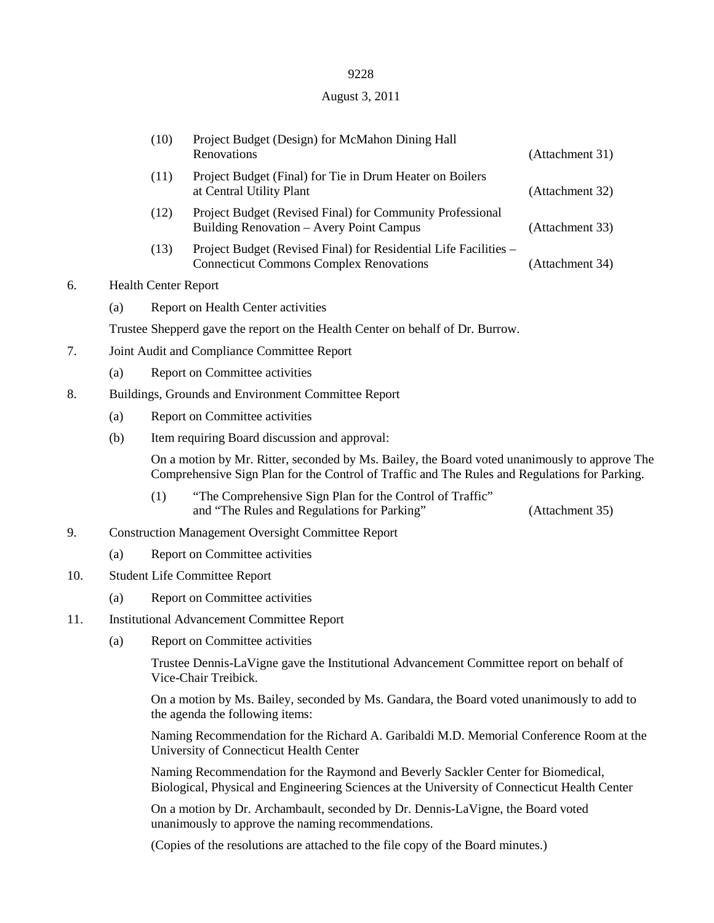## August 3, 2011

|     |                                                   | (10)                                                                                                                                                                                           | Project Budget (Design) for McMahon Dining Hall<br>Renovations                                                                                                                   | (Attachment 31) |  |  |
|-----|---------------------------------------------------|------------------------------------------------------------------------------------------------------------------------------------------------------------------------------------------------|----------------------------------------------------------------------------------------------------------------------------------------------------------------------------------|-----------------|--|--|
|     |                                                   | (11)                                                                                                                                                                                           | Project Budget (Final) for Tie in Drum Heater on Boilers<br>at Central Utility Plant                                                                                             | (Attachment 32) |  |  |
|     |                                                   | (12)                                                                                                                                                                                           | Project Budget (Revised Final) for Community Professional<br>Building Renovation - Avery Point Campus                                                                            | (Attachment 33) |  |  |
|     |                                                   | (13)                                                                                                                                                                                           | Project Budget (Revised Final) for Residential Life Facilities -<br><b>Connecticut Commons Complex Renovations</b>                                                               | (Attachment 34) |  |  |
| 6.  |                                                   | <b>Health Center Report</b>                                                                                                                                                                    |                                                                                                                                                                                  |                 |  |  |
|     | (a)                                               | Report on Health Center activities                                                                                                                                                             |                                                                                                                                                                                  |                 |  |  |
|     |                                                   | Trustee Shepperd gave the report on the Health Center on behalf of Dr. Burrow.                                                                                                                 |                                                                                                                                                                                  |                 |  |  |
| 7.  |                                                   | Joint Audit and Compliance Committee Report                                                                                                                                                    |                                                                                                                                                                                  |                 |  |  |
|     | (a)                                               |                                                                                                                                                                                                | Report on Committee activities                                                                                                                                                   |                 |  |  |
| 8.  |                                                   | Buildings, Grounds and Environment Committee Report                                                                                                                                            |                                                                                                                                                                                  |                 |  |  |
|     | (a)                                               |                                                                                                                                                                                                | Report on Committee activities                                                                                                                                                   |                 |  |  |
|     | (b)                                               |                                                                                                                                                                                                | Item requiring Board discussion and approval:                                                                                                                                    |                 |  |  |
|     |                                                   | On a motion by Mr. Ritter, seconded by Ms. Bailey, the Board voted unanimously to approve The<br>Comprehensive Sign Plan for the Control of Traffic and The Rules and Regulations for Parking. |                                                                                                                                                                                  |                 |  |  |
|     |                                                   | (1)                                                                                                                                                                                            | "The Comprehensive Sign Plan for the Control of Traffic"<br>and "The Rules and Regulations for Parking"                                                                          | (Attachment 35) |  |  |
| 9.  |                                                   | <b>Construction Management Oversight Committee Report</b>                                                                                                                                      |                                                                                                                                                                                  |                 |  |  |
|     | (a)                                               |                                                                                                                                                                                                | Report on Committee activities                                                                                                                                                   |                 |  |  |
| 10. |                                                   | <b>Student Life Committee Report</b>                                                                                                                                                           |                                                                                                                                                                                  |                 |  |  |
|     | (a)                                               |                                                                                                                                                                                                | Report on Committee activities                                                                                                                                                   |                 |  |  |
| 11. | <b>Institutional Advancement Committee Report</b> |                                                                                                                                                                                                |                                                                                                                                                                                  |                 |  |  |
|     | (a)                                               |                                                                                                                                                                                                | Report on Committee activities                                                                                                                                                   |                 |  |  |
|     |                                                   | Trustee Dennis-LaVigne gave the Institutional Advancement Committee report on behalf of<br>Vice-Chair Treibick.                                                                                |                                                                                                                                                                                  |                 |  |  |
|     |                                                   | On a motion by Ms. Bailey, seconded by Ms. Gandara, the Board voted unanimously to add to<br>the agenda the following items:                                                                   |                                                                                                                                                                                  |                 |  |  |
|     |                                                   | Naming Recommendation for the Richard A. Garibaldi M.D. Memorial Conference Room at the<br>University of Connecticut Health Center                                                             |                                                                                                                                                                                  |                 |  |  |
|     |                                                   |                                                                                                                                                                                                | Naming Recommendation for the Raymond and Beverly Sackler Center for Biomedical,<br>Biological, Physical and Engineering Sciences at the University of Connecticut Health Center |                 |  |  |
|     |                                                   |                                                                                                                                                                                                | On a motion by Dr. Archambault, seconded by Dr. Dennis-LaVigne, the Board voted<br>unanimously to approve the naming recommendations.                                            |                 |  |  |

(Copies of the resolutions are attached to the file copy of the Board minutes.)